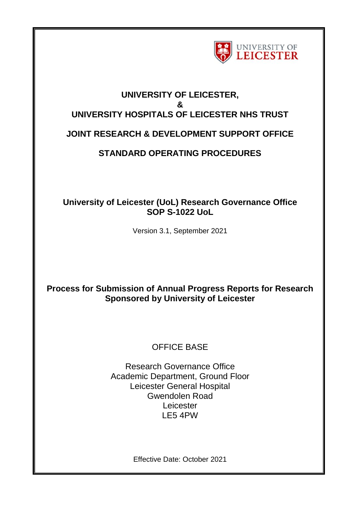

# **UNIVERSITY OF LEICESTER, & UNIVERSITY HOSPITALS OF LEICESTER NHS TRUST JOINT RESEARCH & DEVELOPMENT SUPPORT OFFICE**

## **STANDARD OPERATING PROCEDURES**

### **University of Leicester (UoL) Research Governance Office SOP S-1022 UoL**

Version 3.1, September 2021

## **Process for Submission of Annual Progress Reports for Research Sponsored by University of Leicester**

## OFFICE BASE

Research Governance Office Academic Department, Ground Floor Leicester General Hospital Gwendolen Road **Leicester** LE5 4PW

Effective Date: October 2021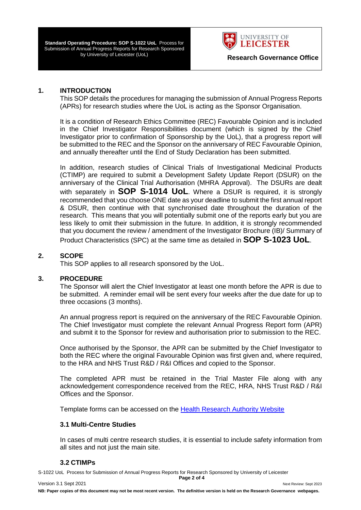**Standard Operating Procedure: SOP S-1022 UoL** Process for Submission of Annual Progress Reports for Research Sponsored by University of Leicester (UoL) **Research Governance Office** 



#### **1. INTRODUCTION**

This SOP details the procedures for managing the submission of Annual Progress Reports (APRs) for research studies where the UoL is acting as the Sponsor Organisation.

It is a condition of Research Ethics Committee (REC) Favourable Opinion and is included in the Chief Investigator Responsibilities document (which is signed by the Chief Investigator prior to confirmation of Sponsorship by the UoL), that a progress report will be submitted to the REC and the Sponsor on the anniversary of REC Favourable Opinion, and annually thereafter until the End of Study Declaration has been submitted.

In addition, research studies of Clinical Trials of Investigational Medicinal Products (CTIMP) are required to submit a Development Safety Update Report (DSUR) on the anniversary of the Clinical Trial Authorisation (MHRA Approval). The DSURs are dealt with separately in **SOP S-1014 UoL**. Where a DSUR is required, it is strongly recommended that you choose ONE date as your deadline to submit the first annual report & DSUR, then continue with that synchronised date throughout the duration of the research. This means that you will potentially submit one of the reports early but you are less likely to omit their submission in the future. In addition, it is strongly recommended that you document the review / amendment of the Investigator Brochure (IB)/ Summary of Product Characteristics (SPC) at the same time as detailed in **SOP S-1023 UoL**.

#### **2. SCOPE**

This SOP applies to all research sponsored by the UoL.

#### **3. PROCEDURE**

The Sponsor will alert the Chief Investigator at least one month before the APR is due to be submitted. A reminder email will be sent every four weeks after the due date for up to three occasions (3 months).

An annual progress report is required on the anniversary of the REC Favourable Opinion. The Chief Investigator must complete the relevant Annual Progress Report form (APR) and submit it to the Sponsor for review and authorisation prior to submission to the REC.

Once authorised by the Sponsor, the APR can be submitted by the Chief Investigator to both the REC where the original Favourable Opinion was first given and, where required, to the HRA and NHS Trust R&D / R&I Offices and copied to the Sponsor.

The completed APR must be retained in the Trial Master File along with any acknowledgement correspondence received from the REC, HRA, NHS Trust R&D / R&I Offices and the Sponsor.

Template forms can be accessed on the [Health Research Authority Website](http://www.hra.nhs.uk/research-community/during-your-research-project/progress-reporting/)

#### **3.1 Multi-Centre Studies**

In cases of multi centre research studies, it is essential to include safety information from all sites and not just the main site.

#### **3.2 CTIMPs**

S-1022 UoL Process for Submission of Annual Progress Reports for Research Sponsored by University of Leicester **Page 2 of 4**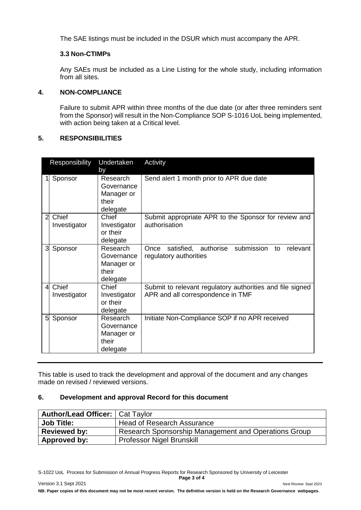The SAE listings must be included in the DSUR which must accompany the APR.

#### **3.3 Non-CTIMPs**

Any SAEs must be included as a Line Listing for the whole study, including information from all sites.

#### **4. NON-COMPLIANCE**

Failure to submit APR within three months of the due date (or after three reminders sent from the Sponsor) will result in the Non-Compliance SOP S-1016 UoL being implemented, with action being taken at a Critical level.

#### **5. RESPONSIBILITIES**

|                | Responsibility        | Undertaken<br>by                                          | Activity                                                                                       |
|----------------|-----------------------|-----------------------------------------------------------|------------------------------------------------------------------------------------------------|
|                | Sponsor               | Research<br>Governance<br>Manager or<br>their<br>delegate | Send alert 1 month prior to APR due date                                                       |
| $\overline{2}$ | Chief<br>Investigator | Chief<br>Investigator<br>or their<br>delegate             | Submit appropriate APR to the Sponsor for review and<br>authorisation                          |
| 3              | Sponsor               | Research<br>Governance<br>Manager or<br>their<br>delegate | satisfied, authorise submission<br>Once<br>relevant<br>to<br>regulatory authorities            |
| $\overline{4}$ | Chief<br>Investigator | Chief<br>Investigator<br>or their<br>delegate             | Submit to relevant regulatory authorities and file signed<br>APR and all correspondence in TMF |
| 5              | Sponsor               | Research<br>Governance<br>Manager or<br>their<br>delegate | Initiate Non-Compliance SOP if no APR received                                                 |

This table is used to track the development and approval of the document and any changes made on revised / reviewed versions.

#### **6. Development and approval Record for this document**

| <b>Author/Lead Officer:   Cat Taylor</b> |                                                      |
|------------------------------------------|------------------------------------------------------|
| <b>Job Title:</b>                        | <b>Head of Research Assurance</b>                    |
| <b>Reviewed by:</b>                      | Research Sponsorship Management and Operations Group |
| Approved by:                             | <b>Professor Nigel Brunskill</b>                     |

S-1022 UoL Process for Submission of Annual Progress Reports for Research Sponsored by University of Leicester **Page 3 of 4**